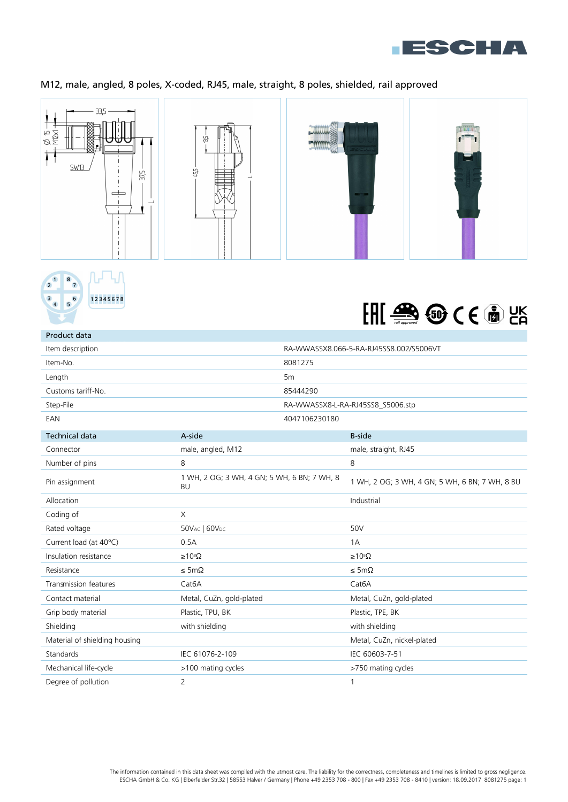

## M12, male, angled, 8 poles, X-coded, RJ45, male, straight, 8 poles, shielded, rail approved







| Product data                  |                                                          |               |                                                |
|-------------------------------|----------------------------------------------------------|---------------|------------------------------------------------|
| Item description              | RA-WWASSX8.066-5-RA-RJ45SS8.002/S5006VT                  |               |                                                |
| Item-No.                      | 8081275                                                  |               |                                                |
| Length                        | 5 <sub>m</sub>                                           |               |                                                |
| Customs tariff-No.            | 85444290                                                 |               |                                                |
| Step-File                     |                                                          |               | RA-WWASSX8-L-RA-RJ45SS8_S5006.stp              |
| EAN                           |                                                          | 4047106230180 |                                                |
| <b>Technical data</b>         | A-side                                                   |               | <b>B-side</b>                                  |
| Connector                     | male, angled, M12                                        |               | male, straight, RJ45                           |
| Number of pins                | 8                                                        |               | 8                                              |
| Pin assignment                | 1 WH, 2 OG; 3 WH, 4 GN; 5 WH, 6 BN; 7 WH, 8<br><b>BU</b> |               | 1 WH, 2 OG; 3 WH, 4 GN; 5 WH, 6 BN; 7 WH, 8 BU |
| Allocation                    |                                                          |               | Industrial                                     |
| Coding of                     | X                                                        |               |                                                |
| Rated voltage                 | 50VAC   60VDC                                            |               | 50V                                            |
| Current load (at 40°C)        | 0.5A                                                     |               | 1A                                             |
| Insulation resistance         | $\geq 10^8 \Omega$                                       |               | $\geq 10^8 \Omega$                             |
| Resistance                    | $\leq$ 5m $\Omega$                                       |               | $\leq$ 5m $\Omega$                             |
| <b>Transmission features</b>  | Cat <sub>6</sub> A                                       |               | Cat <sub>6</sub> A                             |
| Contact material              | Metal, CuZn, gold-plated                                 |               | Metal, CuZn, gold-plated                       |
| Grip body material            | Plastic, TPU, BK                                         |               | Plastic, TPE, BK                               |
| Shielding                     | with shielding                                           |               | with shielding                                 |
| Material of shielding housing |                                                          |               | Metal, CuZn, nickel-plated                     |
| Standards                     | IEC 61076-2-109                                          |               | IEC 60603-7-51                                 |
| Mechanical life-cycle         | >100 mating cycles                                       |               | >750 mating cycles                             |
| Degree of pollution           | $\overline{2}$                                           |               | 1                                              |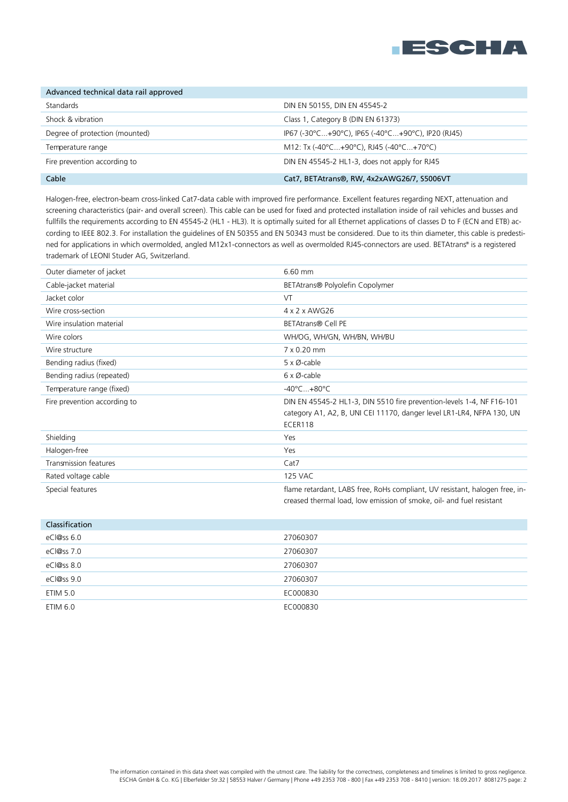

| Advanced technical data rail approved |                                                   |
|---------------------------------------|---------------------------------------------------|
| Standards                             | DIN EN 50155, DIN EN 45545-2                      |
| Shock & vibration                     | Class 1, Category B (DIN EN 61373)                |
| Degree of protection (mounted)        | IP67 (-30°C+90°C), IP65 (-40°C+90°C), IP20 (RJ45) |
| Temperature range                     | M12: Tx (-40°C+90°C), RJ45 (-40°C+70°C)           |
| Fire prevention according to          | DIN EN 45545-2 HL1-3, does not apply for RJ45     |
| Cable                                 | Cat7, BETAtrans®, RW, 4x2xAWG26/7, S5006VT        |

Halogen-free, electron-beam cross-linked Cat7-data cable with improved fire performance. Excellent features regarding NEXT, attenuation and screening characteristics (pair- and overall screen). This cable can be used for fixed and protected installation inside of rail vehicles and busses and fullfills the requirements according to EN 45545-2 (HL1 - HL3). It is optimally suited for all Ethernet applications of classes D to F (ECN and ETB) according to IEEE 802.3. For installation the guidelines of EN 50355 and EN 50343 must be considered. Due to its thin diameter, this cable is predestined for applications in which overmolded, angled M12x1-connectors as well as overmolded RJ45-connectors are used. BETAtrans® is a registered trademark of LEONI Studer AG, Switzerland.

| Outer diameter of jacket     | 6.60 mm                                                                                                                                                   |
|------------------------------|-----------------------------------------------------------------------------------------------------------------------------------------------------------|
| Cable-jacket material        | BETAtrans® Polyolefin Copolymer                                                                                                                           |
| Jacket color                 | VT                                                                                                                                                        |
| Wire cross-section           | 4 x 2 x AWG26                                                                                                                                             |
| Wire insulation material     | <b>BETAtrans® Cell PE</b>                                                                                                                                 |
| Wire colors                  | WH/OG, WH/GN, WH/BN, WH/BU                                                                                                                                |
| Wire structure               | 7 x 0.20 mm                                                                                                                                               |
| Bending radius (fixed)       | 5 x Ø-cable                                                                                                                                               |
| Bending radius (repeated)    | $6 \times \emptyset$ -cable                                                                                                                               |
| Temperature range (fixed)    | $-40^{\circ}$ C $+80^{\circ}$ C                                                                                                                           |
| Fire prevention according to | DIN EN 45545-2 HL1-3, DIN 5510 fire prevention-levels 1-4, NF F16-101<br>category A1, A2, B, UNI CEI 11170, danger level LR1-LR4, NFPA 130, UN<br>ECER118 |
| Shielding                    | Yes                                                                                                                                                       |
| Halogen-free                 | Yes                                                                                                                                                       |
| Transmission features        | Cat7                                                                                                                                                      |
| Rated voltage cable          | <b>125 VAC</b>                                                                                                                                            |
| Special features             | flame retardant, LABS free, RoHs compliant, UV resistant, halogen free, in-<br>creased thermal load, low emission of smoke, oil- and fuel resistant       |
| C <sub>l</sub>               |                                                                                                                                                           |

| <b>CIUSSITICULIUI</b> |          |
|-----------------------|----------|
| eCl@ss 6.0            | 27060307 |
| eCl@ss 7.0            | 27060307 |
| eCl@ss 8.0            | 27060307 |
| eCl@ss 9.0            | 27060307 |
| <b>ETIM 5.0</b>       | EC000830 |
| ETIM 6.0              | EC000830 |